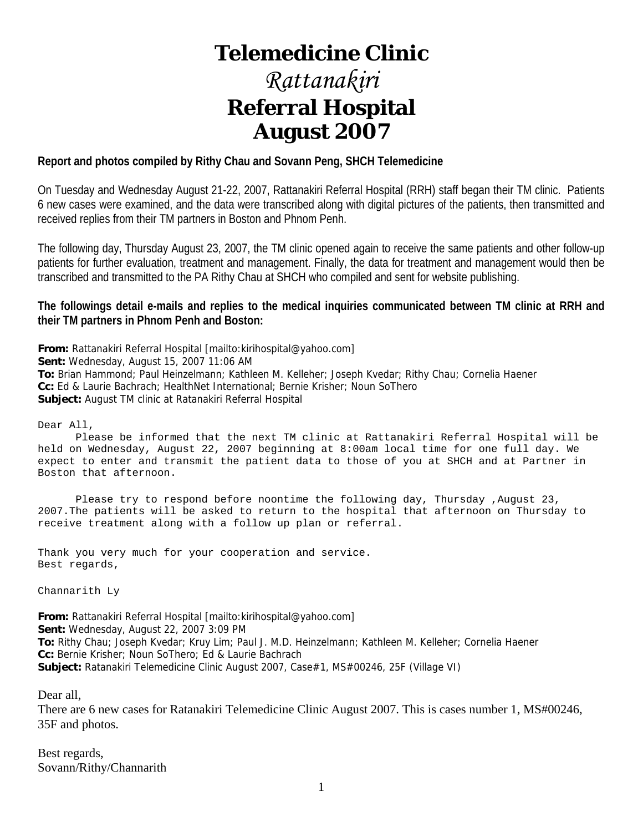# **Telemedicine Clinic**

# *Rattanakiri*  **Referral Hospital August 2007**

# **Report and photos compiled by Rithy Chau and Sovann Peng, SHCH Telemedicine**

On Tuesday and Wednesday August 21-22, 2007, Rattanakiri Referral Hospital (RRH) staff began their TM clinic. Patients 6 new cases were examined, and the data were transcribed along with digital pictures of the patients, then transmitted and received replies from their TM partners in Boston and Phnom Penh.

The following day, Thursday August 23, 2007, the TM clinic opened again to receive the same patients and other follow-up patients for further evaluation, treatment and management. Finally, the data for treatment and management would then be transcribed and transmitted to the PA Rithy Chau at SHCH who compiled and sent for website publishing.

# **The followings detail e-mails and replies to the medical inquiries communicated between TM clinic at RRH and their TM partners in Phnom Penh and Boston:**

**From:** Rattanakiri Referral Hospital [mailto:kirihospital@yahoo.com] **Sent:** Wednesday, August 15, 2007 11:06 AM **To:** Brian Hammond; Paul Heinzelmann; Kathleen M. Kelleher; Joseph Kvedar; Rithy Chau; Cornelia Haener **Cc:** Ed & Laurie Bachrach; HealthNet International; Bernie Krisher; Noun SoThero **Subject:** August TM clinic at Ratanakiri Referral Hospital

Dear All,

 Please be informed that the next TM clinic at Rattanakiri Referral Hospital will be held on Wednesday, August 22, 2007 beginning at 8:00am local time for one full day. We expect to enter and transmit the patient data to those of you at SHCH and at Partner in Boston that afternoon.

 Please try to respond before noontime the following day, Thursday ,August 23, 2007.The patients will be asked to return to the hospital that afternoon on Thursday to receive treatment along with a follow up plan or referral.

Thank you very much for your cooperation and service. Best regards,

Channarith Ly

**From:** Rattanakiri Referral Hospital [mailto:kirihospital@yahoo.com] **Sent:** Wednesday, August 22, 2007 3:09 PM **To:** Rithy Chau; Joseph Kvedar; Kruy Lim; Paul J. M.D. Heinzelmann; Kathleen M. Kelleher; Cornelia Haener **Cc:** Bernie Krisher; Noun SoThero; Ed & Laurie Bachrach **Subject:** Ratanakiri Telemedicine Clinic August 2007, Case#1, MS#00246, 25F (Village VI)

Dear all,

There are 6 new cases for Ratanakiri Telemedicine Clinic August 2007. This is cases number 1, MS#00246, 35F and photos.

Best regards, Sovann/Rithy/Channarith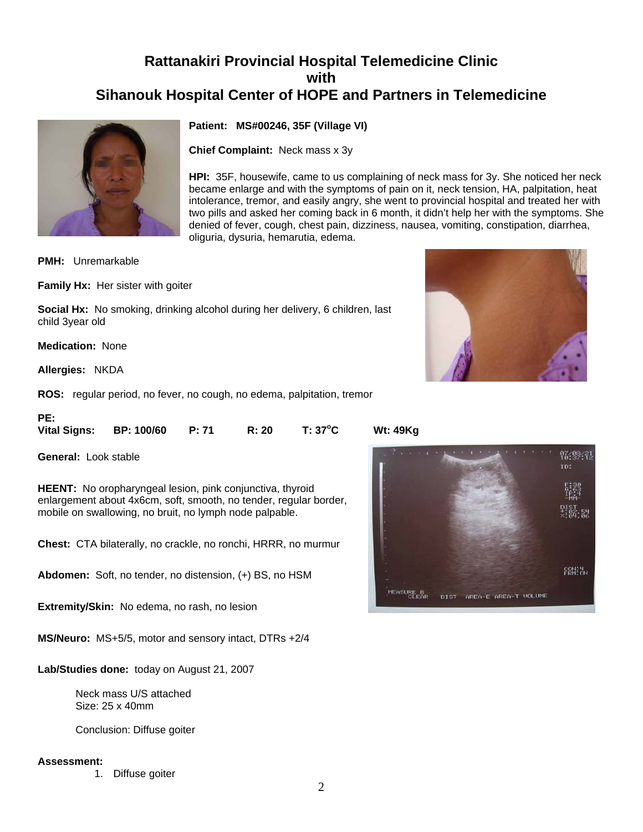# **Rattanakiri Provincial Hospital Telemedicine Clinic with Sihanouk Hospital Center of HOPE and Partners in Telemedicine**



**Patient: MS#00246, 35F (Village VI)**

**Chief Complaint:** Neck mass x 3y

**HPI:** 35F, housewife, came to us complaining of neck mass for 3y. She noticed her neck became enlarge and with the symptoms of pain on it, neck tension, HA, palpitation, heat intolerance, tremor, and easily angry, she went to provincial hospital and treated her with two pills and asked her coming back in 6 month, it didn't help her with the symptoms. She denied of fever, cough, chest pain, dizziness, nausea, vomiting, constipation, diarrhea, oliguria, dysuria, hemarutia, edema.

**PMH:** Unremarkable

**Family Hx:** Her sister with goiter

**Social Hx:** No smoking, drinking alcohol during her delivery, 6 children, last child 3year old

**Medication:** None

**Allergies:** NKDA

**PE:** 

**ROS:** regular period, no fever, no cough, no edema, palpitation, tremor

| <b>Vital Signs:</b> | <b>BP: 100/60</b> | R: 20 | $T: 37^{\circ}C$ |  |
|---------------------|-------------------|-------|------------------|--|
|                     |                   |       |                  |  |

**General:** Look stable

**HEENT:** No oropharyngeal lesion, pink conjunctiva, thyroid enlargement about 4x6cm, soft, smooth, no tender, regular border, mobile on swallowing, no bruit, no lymph node palpable.

**Chest:** CTA bilaterally, no crackle, no ronchi, HRRR, no murmur

**Abdomen:** Soft, no tender, no distension, (+) BS, no HSM

**Extremity/Skin:** No edema, no rash, no lesion

**MS/Neuro:** MS+5/5, motor and sensory intact, DTRs +2/4

**Lab/Studies done:** today on August 21, 2007

 Neck mass U/S attached Size: 25 x 40mm

Conclusion: Diffuse goiter

#### **Assessment:**

1. Diffuse goiter



**C Wt: 49Kg**

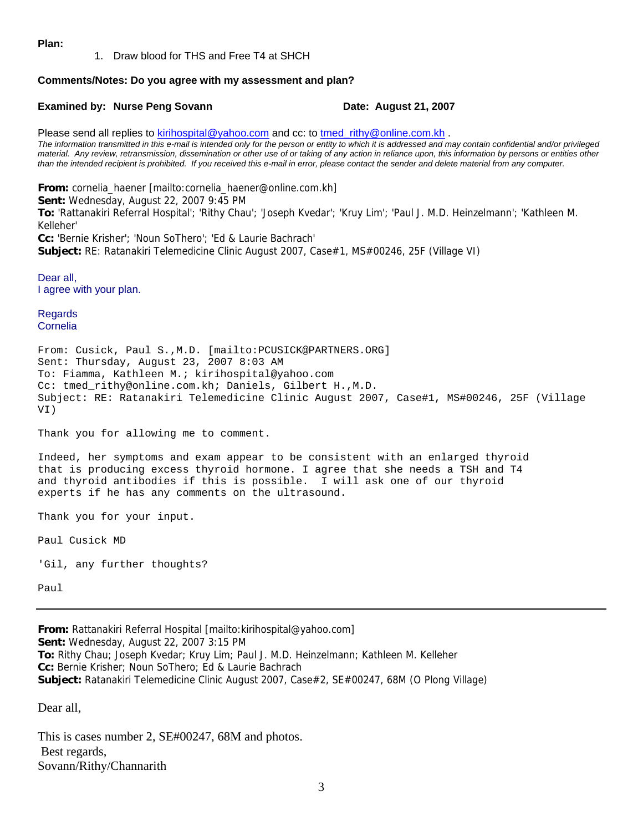#### **Plan:**

1. Draw blood for THS and Free T4 at SHCH

#### **Comments/Notes: Do you agree with my assessment and plan?**

#### **Examined by: Nurse Peng Sovann Date: August 21, 2007**

Please send all replies to [kirihospital@yahoo.com](mailto:kirihospital@yahoo.com) and cc: to [tmed\\_rithy@online.com.kh](mailto:tmed_rithy@bigpond.com.kh) . *The information transmitted in this e-mail is intended only for the person or entity to which it is addressed and may contain confidential and/or privileged material. Any review, retransmission, dissemination or other use of or taking of any action in reliance upon, this information by persons or entities other than the intended recipient is prohibited. If you received this e-mail in error, please contact the sender and delete material from any computer.*

**From:** cornelia\_haener [mailto:cornelia\_haener@online.com.kh] **Sent:** Wednesday, August 22, 2007 9:45 PM **To:** 'Rattanakiri Referral Hospital'; 'Rithy Chau'; 'Joseph Kvedar'; 'Kruy Lim'; 'Paul J. M.D. Heinzelmann'; 'Kathleen M. Kelleher' **Cc:** 'Bernie Krisher'; 'Noun SoThero'; 'Ed & Laurie Bachrach'

**Subject:** RE: Ratanakiri Telemedicine Clinic August 2007, Case#1, MS#00246, 25F (Village VI)

Dear all, I agree with your plan.

Regards Cornelia

From: Cusick, Paul S.,M.D. [mailto:PCUSICK@PARTNERS.ORG] Sent: Thursday, August 23, 2007 8:03 AM To: Fiamma, Kathleen M.; kirihospital@yahoo.com Cc: tmed\_rithy@online.com.kh; Daniels, Gilbert H.,M.D. Subject: RE: Ratanakiri Telemedicine Clinic August 2007, Case#1, MS#00246, 25F (Village VI)

Thank you for allowing me to comment.

Indeed, her symptoms and exam appear to be consistent with an enlarged thyroid that is producing excess thyroid hormone. I agree that she needs a TSH and T4 and thyroid antibodies if this is possible. I will ask one of our thyroid experts if he has any comments on the ultrasound.

Thank you for your input.

Paul Cusick MD

'Gil, any further thoughts?

Paul

**From:** Rattanakiri Referral Hospital [mailto:kirihospital@yahoo.com] **Sent:** Wednesday, August 22, 2007 3:15 PM **To:** Rithy Chau; Joseph Kvedar; Kruy Lim; Paul J. M.D. Heinzelmann; Kathleen M. Kelleher **Cc:** Bernie Krisher; Noun SoThero; Ed & Laurie Bachrach **Subject:** Ratanakiri Telemedicine Clinic August 2007, Case#2, SE#00247, 68M (O Plong Village)

Dear all,

This is cases number 2, SE#00247, 68M and photos. Best regards, Sovann/Rithy/Channarith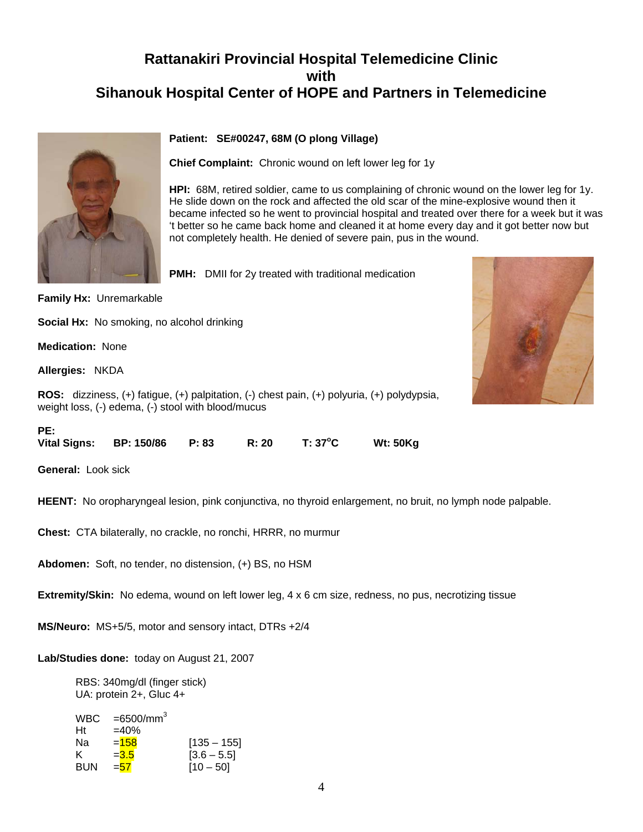# **Rattanakiri Provincial Hospital Telemedicine Clinic with Sihanouk Hospital Center of HOPE and Partners in Telemedicine**



# **Patient: SE#00247, 68M (O plong Village)**

**Chief Complaint:** Chronic wound on left lower leg for 1y

**HPI:** 68M, retired soldier, came to us complaining of chronic wound on the lower leg for 1y. He slide down on the rock and affected the old scar of the mine-explosive wound then it became infected so he went to provincial hospital and treated over there for a week but it was 't better so he came back home and cleaned it at home every day and it got better now but not completely health. He denied of severe pain, pus in the wound.

**PMH:** DMII for 2y treated with traditional medication



**Family Hx:** Unremarkable

**Social Hx:** No smoking, no alcohol drinking

**Medication:** None

**Allergies:** NKDA

**ROS:** dizziness, (+) fatigue, (+) palpitation, (-) chest pain, (+) polyuria, (+) polydypsia, weight loss, (-) edema, (-) stool with blood/mucus

| ۹ |  |
|---|--|

| .                   |                   |       |       |                  |                 |
|---------------------|-------------------|-------|-------|------------------|-----------------|
| <b>Vital Signs:</b> | <b>BP: 150/86</b> | P: 83 | R: 20 | $T: 37^{\circ}C$ | <b>Wt: 50Kg</b> |

**General:** Look sick

**HEENT:** No oropharyngeal lesion, pink conjunctiva, no thyroid enlargement, no bruit, no lymph node palpable.

**Chest:** CTA bilaterally, no crackle, no ronchi, HRRR, no murmur

**Abdomen:** Soft, no tender, no distension, (+) BS, no HSM

**Extremity/Skin:** No edema, wound on left lower leg, 4 x 6 cm size, redness, no pus, necrotizing tissue

**MS/Neuro:** MS+5/5, motor and sensory intact, DTRs +2/4

**Lab/Studies done:** today on August 21, 2007

 RBS: 340mg/dl (finger stick) UA: protein 2+, Gluc 4+

| <b>WBC</b> | $=6500/mm^3$ |               |
|------------|--------------|---------------|
| Ht         | $=40%$       |               |
| Nа         | $=158$       | $[135 - 155]$ |
| ĸ.         | $= 3.5$      | $[3.6 - 5.5]$ |
| <b>BUN</b> | $= 57$       | $[10 - 50]$   |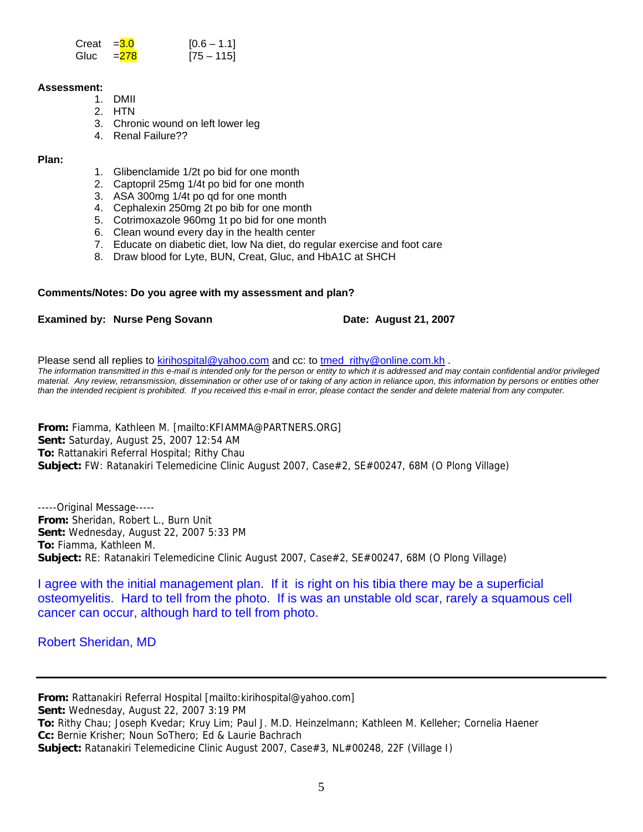| Creat $=$ $\frac{3.0}{3}$ | $[0.6 - 1.1]$ |
|---------------------------|---------------|
| Gluc $=278$               | $[75 - 115]$  |

#### **Assessment:**

- 1. DMII
- 2. HTN
- 3. Chronic wound on left lower leg
- 4. Renal Failure??

**Plan:**

- 1. Glibenclamide 1/2t po bid for one month
- 2. Captopril 25mg 1/4t po bid for one month
- 3. ASA 300mg 1/4t po qd for one month
- 4. Cephalexin 250mg 2t po bib for one month
- 5. Cotrimoxazole 960mg 1t po bid for one month
- 6. Clean wound every day in the health center
- 7. Educate on diabetic diet, low Na diet, do regular exercise and foot care
- 8. Draw blood for Lyte, BUN, Creat, Gluc, and HbA1C at SHCH

# **Comments/Notes: Do you agree with my assessment and plan?**

# **Examined by: Nurse Peng Sovann Date: August 21, 2007**

Please send all replies to [kirihospital@yahoo.com](mailto:kirihospital@yahoo.com) and cc: to tmed rithy@online.com.kh . *The information transmitted in this e-mail is intended only for the person or entity to which it is addressed and may contain confidential and/or privileged material. Any review, retransmission, dissemination or other use of or taking of any action in reliance upon, this information by persons or entities other than the intended recipient is prohibited. If you received this e-mail in error, please contact the sender and delete material from any computer.*

**From:** Fiamma, Kathleen M. [mailto:KFIAMMA@PARTNERS.ORG] **Sent:** Saturday, August 25, 2007 12:54 AM **To:** Rattanakiri Referral Hospital; Rithy Chau **Subject:** FW: Ratanakiri Telemedicine Clinic August 2007, Case#2, SE#00247, 68M (O Plong Village)

-----Original Message----- **From:** Sheridan, Robert L., Burn Unit **Sent:** Wednesday, August 22, 2007 5:33 PM **To:** Fiamma, Kathleen M. **Subject:** RE: Ratanakiri Telemedicine Clinic August 2007, Case#2, SE#00247, 68M (O Plong Village)

I agree with the initial management plan. If it is right on his tibia there may be a superficial osteomyelitis. Hard to tell from the photo. If is was an unstable old scar, rarely a squamous cell cancer can occur, although hard to tell from photo.

Robert Sheridan, MD

**From:** Rattanakiri Referral Hospital [mailto:kirihospital@yahoo.com] **Sent:** Wednesday, August 22, 2007 3:19 PM **To:** Rithy Chau; Joseph Kvedar; Kruy Lim; Paul J. M.D. Heinzelmann; Kathleen M. Kelleher; Cornelia Haener **Cc:** Bernie Krisher; Noun SoThero; Ed & Laurie Bachrach **Subject:** Ratanakiri Telemedicine Clinic August 2007, Case#3, NL#00248, 22F (Village I)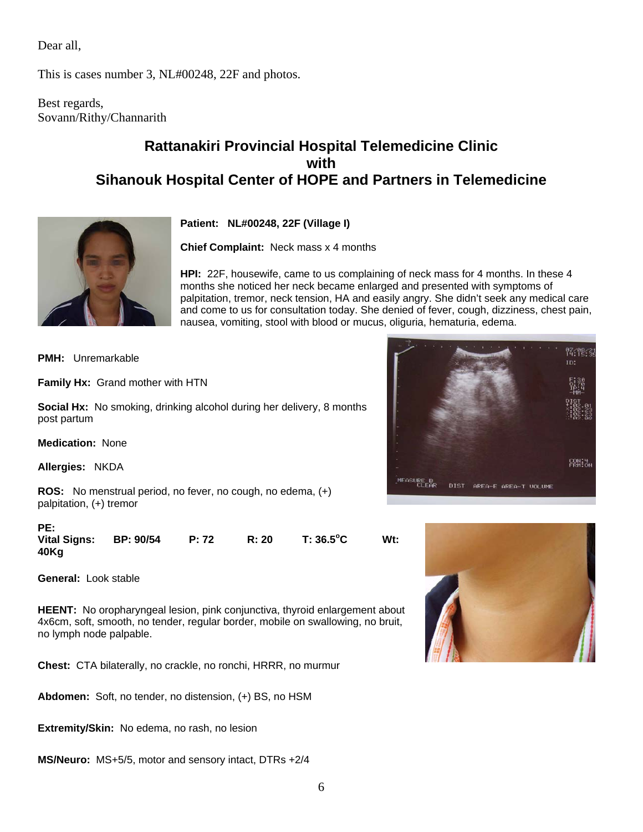Dear all,

This is cases number 3, NL#00248, 22F and photos.

Best regards, Sovann/Rithy/Channarith

# **Rattanakiri Provincial Hospital Telemedicine Clinic with Sihanouk Hospital Center of HOPE and Partners in Telemedicine**



**Patient: NL#00248, 22F (Village I)**

**Chief Complaint:** Neck mass x 4 months

**HPI:** 22F, housewife, came to us complaining of neck mass for 4 months. In these 4 months she noticed her neck became enlarged and presented with symptoms of palpitation, tremor, neck tension, HA and easily angry. She didn't seek any medical care and come to us for consultation today. She denied of fever, cough, dizziness, chest pain, nausea, vomiting, stool with blood or mucus, oliguria, hematuria, edema.

**PMH:** Unremarkable

**Family Hx:** Grand mother with HTN

**Social Hx:** No smoking, drinking alcohol during her delivery, 8 months post partum

**Medication:** None

**Allergies:** NKDA

**ROS:** No menstrual period, no fever, no cough, no edema, (+) palpitation, (+) tremor

| PE:<br><b>Vital Signs:</b> | BP: 90/54 | P: 72 | R: 20 | T: 36.5°C | $Wt$ : |
|----------------------------|-----------|-------|-------|-----------|--------|
| 40Kg                       |           |       |       |           |        |

**General:** Look stable

**HEENT:** No oropharyngeal lesion, pink conjunctiva, thyroid enlargement about 4x6cm, soft, smooth, no tender, regular border, mobile on swallowing, no bruit, no lymph node palpable.

**Chest:** CTA bilaterally, no crackle, no ronchi, HRRR, no murmur

**Abdomen:** Soft, no tender, no distension, (+) BS, no HSM

**Extremity/Skin:** No edema, no rash, no lesion

**MS/Neuro:** MS+5/5, motor and sensory intact, DTRs +2/4



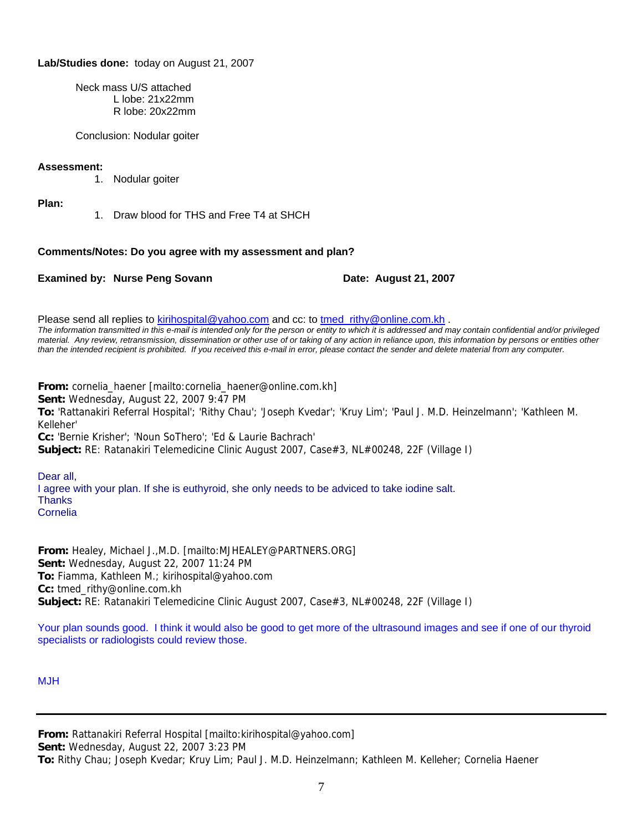# **Lab/Studies done:** today on August 21, 2007

 Neck mass U/S attached L lobe: 21x22mm R lobe: 20x22mm

Conclusion: Nodular goiter

# **Assessment:**

1. Nodular goiter

**Plan:**

1. Draw blood for THS and Free T4 at SHCH

# **Comments/Notes: Do you agree with my assessment and plan?**

**Examined by: Nurse Peng Sovann Date: August 21, 2007** 

Please send all replies to [kirihospital@yahoo.com](mailto:kirihospital@yahoo.com) and cc: to tmed rithy@online.com.kh . *The information transmitted in this e-mail is intended only for the person or entity to which it is addressed and may contain confidential and/or privileged material. Any review, retransmission, dissemination or other use of or taking of any action in reliance upon, this information by persons or entities other than the intended recipient is prohibited. If you received this e-mail in error, please contact the sender and delete material from any computer.*

**From:** cornelia\_haener [mailto:cornelia\_haener@online.com.kh] **Sent:** Wednesday, August 22, 2007 9:47 PM **To:** 'Rattanakiri Referral Hospital'; 'Rithy Chau'; 'Joseph Kvedar'; 'Kruy Lim'; 'Paul J. M.D. Heinzelmann'; 'Kathleen M. Kelleher' **Cc:** 'Bernie Krisher'; 'Noun SoThero'; 'Ed & Laurie Bachrach' **Subject:** RE: Ratanakiri Telemedicine Clinic August 2007, Case#3, NL#00248, 22F (Village I)

Dear all, I agree with your plan. If she is euthyroid, she only needs to be adviced to take iodine salt. **Thanks** Cornelia

**From:** Healey, Michael J.,M.D. [mailto:MJHEALEY@PARTNERS.ORG] **Sent:** Wednesday, August 22, 2007 11:24 PM **To:** Fiamma, Kathleen M.; kirihospital@yahoo.com **Cc:** tmed\_rithy@online.com.kh **Subject:** RE: Ratanakiri Telemedicine Clinic August 2007, Case#3, NL#00248, 22F (Village I)

Your plan sounds good. I think it would also be good to get more of the ultrasound images and see if one of our thyroid specialists or radiologists could review those.

MJH

**From:** Rattanakiri Referral Hospital [mailto:kirihospital@yahoo.com] **Sent:** Wednesday, August 22, 2007 3:23 PM **To:** Rithy Chau; Joseph Kvedar; Kruy Lim; Paul J. M.D. Heinzelmann; Kathleen M. Kelleher; Cornelia Haener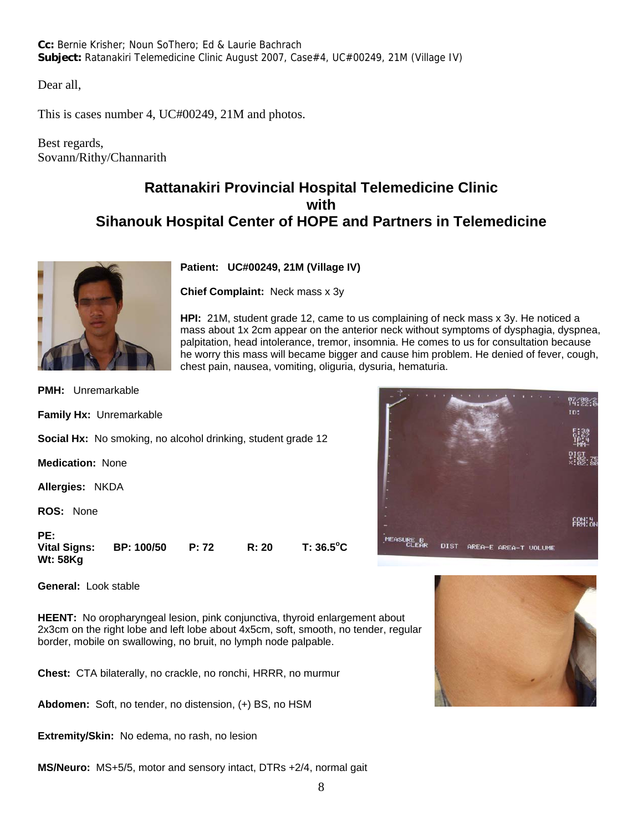**Cc:** Bernie Krisher; Noun SoThero; Ed & Laurie Bachrach **Subject:** Ratanakiri Telemedicine Clinic August 2007, Case#4, UC#00249, 21M (Village IV)

Dear all,

This is cases number 4, UC#00249, 21M and photos.

Best regards, Sovann/Rithy/Channarith

# **Rattanakiri Provincial Hospital Telemedicine Clinic with Sihanouk Hospital Center of HOPE and Partners in Telemedicine**



**Patient: UC#00249, 21M (Village IV)**

**Chief Complaint:** Neck mass x 3y

**HPI:** 21M, student grade 12, came to us complaining of neck mass x 3y. He noticed a mass about 1x 2cm appear on the anterior neck without symptoms of dysphagia, dyspnea, palpitation, head intolerance, tremor, insomnia. He comes to us for consultation because he worry this mass will became bigger and cause him problem. He denied of fever, cough, chest pain, nausea, vomiting, oliguria, dysuria, hematuria.

**PMH:** Unremarkable

**Family Hx:** Unremarkable

**Social Hx:** No smoking, no alcohol drinking, student grade 12

**Medication:** None

**Allergies:** NKDA

**ROS:** None

**PE:** 

**Vital Signs: BP: 100/50 P: 72 R: 20. Wt: 58Kg**

**General:** Look stable

**HEENT:** No oropharyngeal lesion, pink conjunctiva, thyroid enlargement about 2x3cm on the right lobe and left lobe about 4x5cm, soft, smooth, no tender, regular border, mobile on swallowing, no bruit, no lymph node palpable.

**Chest:** CTA bilaterally, no crackle, no ronchi, HRRR, no murmur

**Abdomen:** Soft, no tender, no distension, (+) BS, no HSM

**Extremity/Skin:** No edema, no rash, no lesion

**MS/Neuro:** MS+5/5, motor and sensory intact, DTRs +2/4, normal gait





 $T: 36.5^{\circ}C$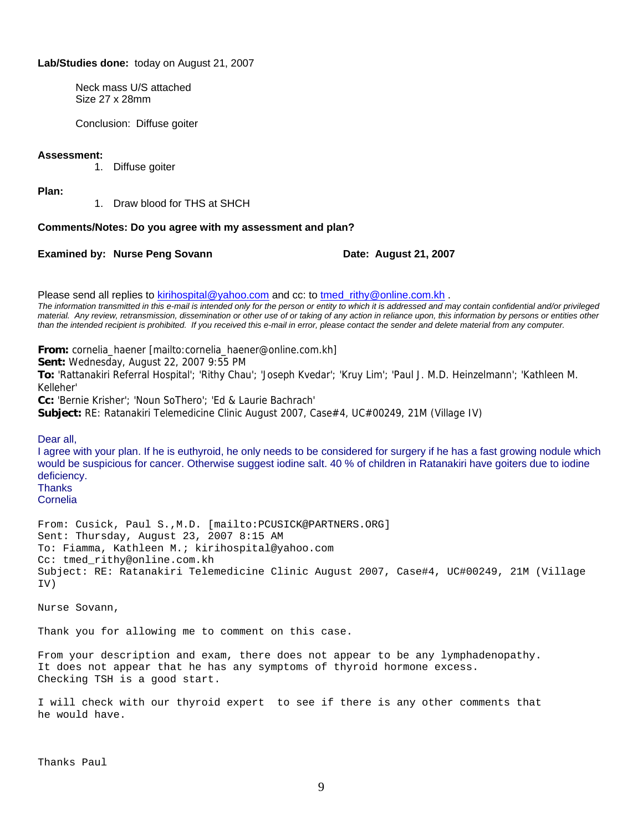#### **Lab/Studies done:** today on August 21, 2007

 Neck mass U/S attached Size 27 x 28mm

Conclusion: Diffuse goiter

#### **Assessment:**

1. Diffuse goiter

**Plan:**

1. Draw blood for THS at SHCH

#### **Comments/Notes: Do you agree with my assessment and plan?**

**Examined by: Nurse Peng Sovann Date: August 21, 2007** 

Please send all replies to [kirihospital@yahoo.com](mailto:kirihospital@yahoo.com) and cc: to [tmed\\_rithy@online.com.kh](mailto:tmed_rithy@bigpond.com.kh) .

*The information transmitted in this e-mail is intended only for the person or entity to which it is addressed and may contain confidential and/or privileged material. Any review, retransmission, dissemination or other use of or taking of any action in reliance upon, this information by persons or entities other than the intended recipient is prohibited. If you received this e-mail in error, please contact the sender and delete material from any computer.*

**From:** cornelia\_haener [mailto:cornelia\_haener@online.com.kh]

**Sent:** Wednesday, August 22, 2007 9:55 PM

**To:** 'Rattanakiri Referral Hospital'; 'Rithy Chau'; 'Joseph Kvedar'; 'Kruy Lim'; 'Paul J. M.D. Heinzelmann'; 'Kathleen M. Kelleher'

**Cc:** 'Bernie Krisher'; 'Noun SoThero'; 'Ed & Laurie Bachrach'

**Subject:** RE: Ratanakiri Telemedicine Clinic August 2007, Case#4, UC#00249, 21M (Village IV)

Dear all,

I agree with your plan. If he is euthyroid, he only needs to be considered for surgery if he has a fast growing nodule which would be suspicious for cancer. Otherwise suggest iodine salt. 40 % of children in Ratanakiri have goiters due to iodine deficiency.

**Thanks** 

Cornelia

From: Cusick, Paul S.,M.D. [mailto:PCUSICK@PARTNERS.ORG] Sent: Thursday, August 23, 2007 8:15 AM To: Fiamma, Kathleen M.; kirihospital@yahoo.com Cc: tmed\_rithy@online.com.kh Subject: RE: Ratanakiri Telemedicine Clinic August 2007, Case#4, UC#00249, 21M (Village IV)

Nurse Sovann,

Thank you for allowing me to comment on this case.

From your description and exam, there does not appear to be any lymphadenopathy. It does not appear that he has any symptoms of thyroid hormone excess. Checking TSH is a good start.

I will check with our thyroid expert to see if there is any other comments that he would have.

Thanks Paul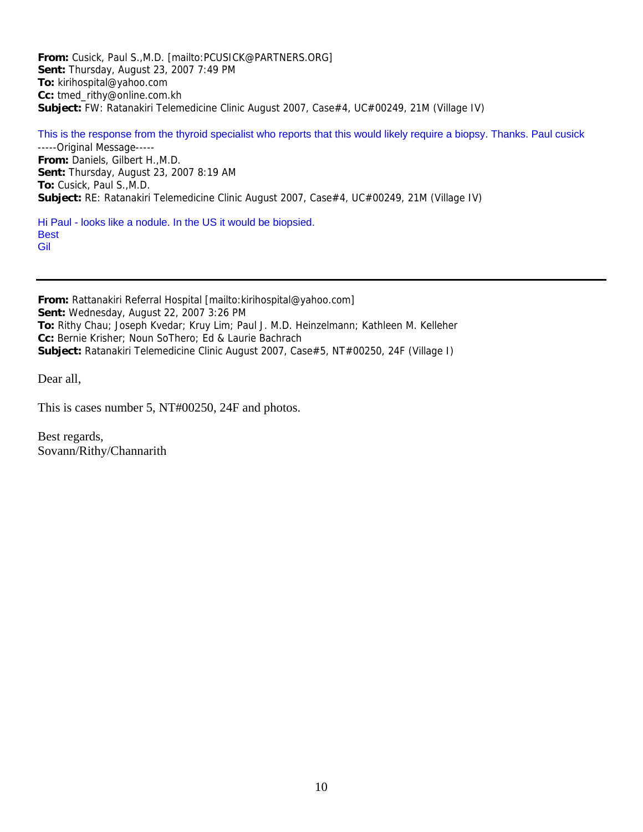**From:** Cusick, Paul S.,M.D. [mailto:PCUSICK@PARTNERS.ORG] **Sent:** Thursday, August 23, 2007 7:49 PM **To:** kirihospital@yahoo.com **Cc:** tmed\_rithy@online.com.kh **Subject:** FW: Ratanakiri Telemedicine Clinic August 2007, Case#4, UC#00249, 21M (Village IV)

This is the response from the thyroid specialist who reports that this would likely require a biopsy. Thanks. Paul cusick -----Original Message----- **From:** Daniels, Gilbert H.,M.D. **Sent:** Thursday, August 23, 2007 8:19 AM **To:** Cusick, Paul S.,M.D. **Subject:** RE: Ratanakiri Telemedicine Clinic August 2007, Case#4, UC#00249, 21M (Village IV)

Hi Paul - looks like a nodule. In the US it would be biopsied. **Best** Gil

**From:** Rattanakiri Referral Hospital [mailto:kirihospital@yahoo.com] **Sent:** Wednesday, August 22, 2007 3:26 PM **To:** Rithy Chau; Joseph Kvedar; Kruy Lim; Paul J. M.D. Heinzelmann; Kathleen M. Kelleher **Cc:** Bernie Krisher; Noun SoThero; Ed & Laurie Bachrach **Subject:** Ratanakiri Telemedicine Clinic August 2007, Case#5, NT#00250, 24F (Village I)

Dear all,

This is cases number 5, NT#00250, 24F and photos.

Best regards, Sovann/Rithy/Channarith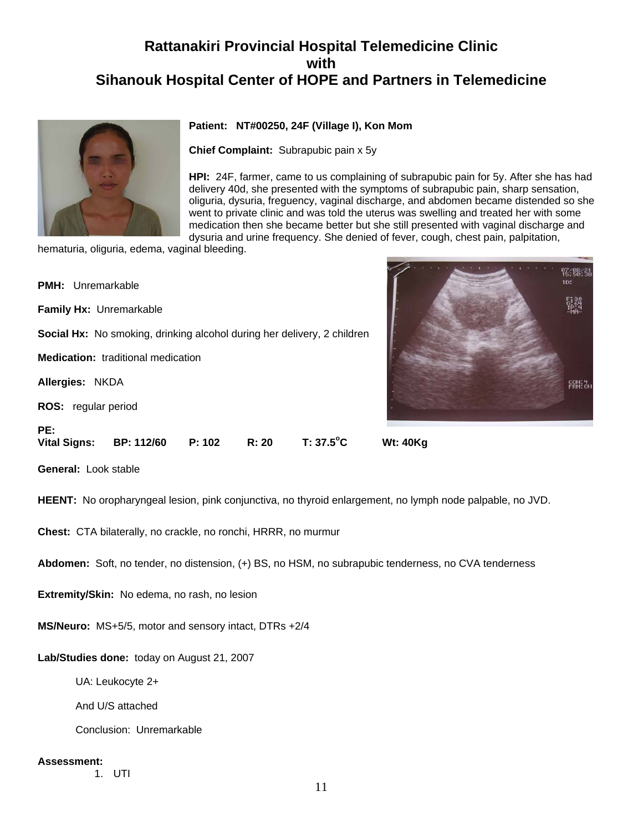# **Rattanakiri Provincial Hospital Telemedicine Clinic with Sihanouk Hospital Center of HOPE and Partners in Telemedicine**



# **Patient: NT#00250, 24F (Village I), Kon Mom**

**Chief Complaint:** Subrapubic pain x 5y

**HPI:** 24F, farmer, came to us complaining of subrapubic pain for 5y. After she has had delivery 40d, she presented with the symptoms of subrapubic pain, sharp sensation, oliguria, dysuria, freguency, vaginal discharge, and abdomen became distended so she went to private clinic and was told the uterus was swelling and treated her with some medication then she became better but she still presented with vaginal discharge and dysuria and urine frequency. She denied of fever, cough, chest pain, palpitation,

Z . . .

97:08:31

ERM: 참

hematuria, oliguria, edema, vaginal bleeding.

| <b>PMH:</b> Unremarkable                  |                   |        |       |                                                                                |                 |
|-------------------------------------------|-------------------|--------|-------|--------------------------------------------------------------------------------|-----------------|
| Family Hx: Unremarkable                   |                   |        |       |                                                                                |                 |
|                                           |                   |        |       | <b>Social Hx:</b> No smoking, drinking alcohol during her delivery, 2 children |                 |
| <b>Medication:</b> traditional medication |                   |        |       |                                                                                |                 |
| Allergies: NKDA                           |                   |        |       |                                                                                |                 |
| <b>ROS:</b> regular period                |                   |        |       |                                                                                |                 |
| PE:                                       |                   |        |       |                                                                                |                 |
| <b>Vital Signs:</b>                       | <b>BP: 112/60</b> | P: 102 | R: 20 | $T: 37.5$ °C                                                                   | <b>Wt: 40Kg</b> |

**General:** Look stable

**HEENT:** No oropharyngeal lesion, pink conjunctiva, no thyroid enlargement, no lymph node palpable, no JVD.

**Chest:** CTA bilaterally, no crackle, no ronchi, HRRR, no murmur

**Abdomen:** Soft, no tender, no distension, (+) BS, no HSM, no subrapubic tenderness, no CVA tenderness

**Extremity/Skin:** No edema, no rash, no lesion

**MS/Neuro:** MS+5/5, motor and sensory intact, DTRs +2/4

**Lab/Studies done:** today on August 21, 2007

UA: Leukocyte 2+

And U/S attached

Conclusion: Unremarkable

#### **Assessment:**

1. UTI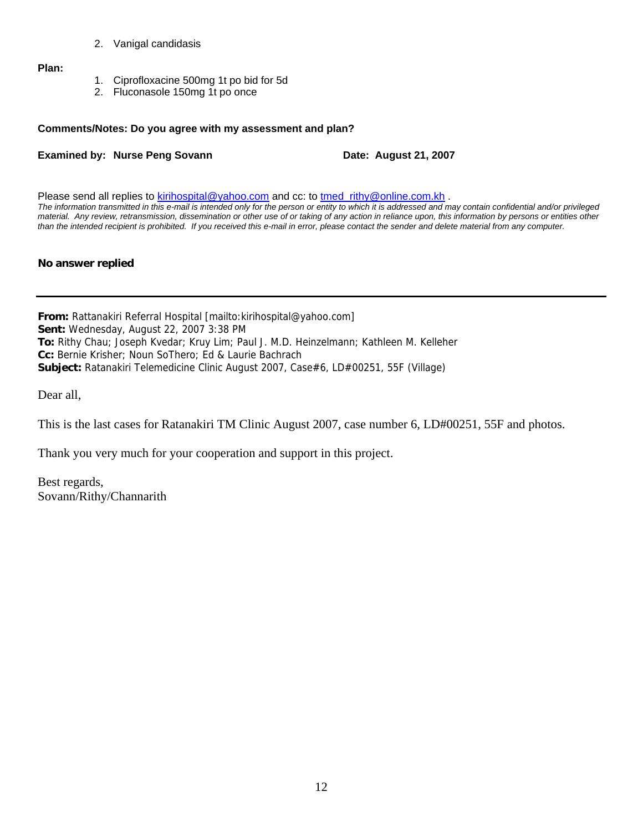2. Vanigal candidasis

**Plan:**

- 1. Ciprofloxacine 500mg 1t po bid for 5d
- 2. Fluconasole 150mg 1t po once

#### **Comments/Notes: Do you agree with my assessment and plan?**

#### **Examined by: Nurse Peng Sovann Date: August 21, 2007**

Please send all replies to [kirihospital@yahoo.com](mailto:kirihospital@yahoo.com) and cc: to [tmed\\_rithy@online.com.kh](mailto:tmed_rithy@bigpond.com.kh) . *The information transmitted in this e-mail is intended only for the person or entity to which it is addressed and may contain confidential and/or privileged material. Any review, retransmission, dissemination or other use of or taking of any action in reliance upon, this information by persons or entities other than the intended recipient is prohibited. If you received this e-mail in error, please contact the sender and delete material from any computer.*

#### **No answer replied**

**From:** Rattanakiri Referral Hospital [mailto:kirihospital@yahoo.com] **Sent:** Wednesday, August 22, 2007 3:38 PM **To:** Rithy Chau; Joseph Kvedar; Kruy Lim; Paul J. M.D. Heinzelmann; Kathleen M. Kelleher **Cc:** Bernie Krisher; Noun SoThero; Ed & Laurie Bachrach **Subject:** Ratanakiri Telemedicine Clinic August 2007, Case#6, LD#00251, 55F (Village)

Dear all,

This is the last cases for Ratanakiri TM Clinic August 2007, case number 6, LD#00251, 55F and photos.

Thank you very much for your cooperation and support in this project.

Best regards, Sovann/Rithy/Channarith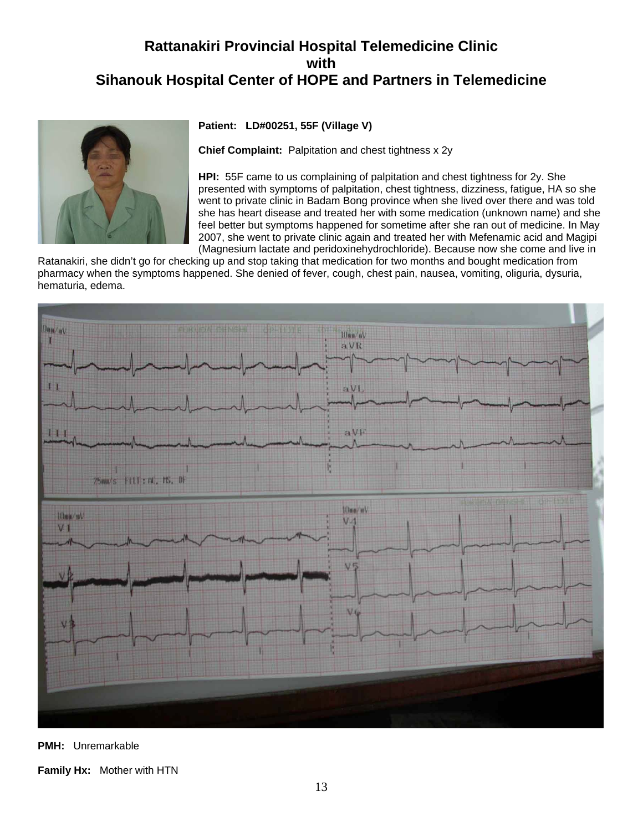# **Rattanakiri Provincial Hospital Telemedicine Clinic with Sihanouk Hospital Center of HOPE and Partners in Telemedicine**



**Patient: LD#00251, 55F (Village V)**

**Chief Complaint:** Palpitation and chest tightness x 2y

**HPI:** 55F came to us complaining of palpitation and chest tightness for 2y. She presented with symptoms of palpitation, chest tightness, dizziness, fatigue, HA so she went to private clinic in Badam Bong province when she lived over there and was told she has heart disease and treated her with some medication (unknown name) and she feel better but symptoms happened for sometime after she ran out of medicine. In May 2007, she went to private clinic again and treated her with Mefenamic acid and Magipi (Magnesium lactate and peridoxinehydrochloride). Because now she come and live in

Ratanakiri, she didn't go for checking up and stop taking that medication for two months and bought medication from pharmacy when the symptoms happened. She denied of fever, cough, chest pain, nausea, vomiting, oliguria, dysuria, hematuria, edema.



**PMH:** Unremarkable

**Family Hx:** Mother with HTN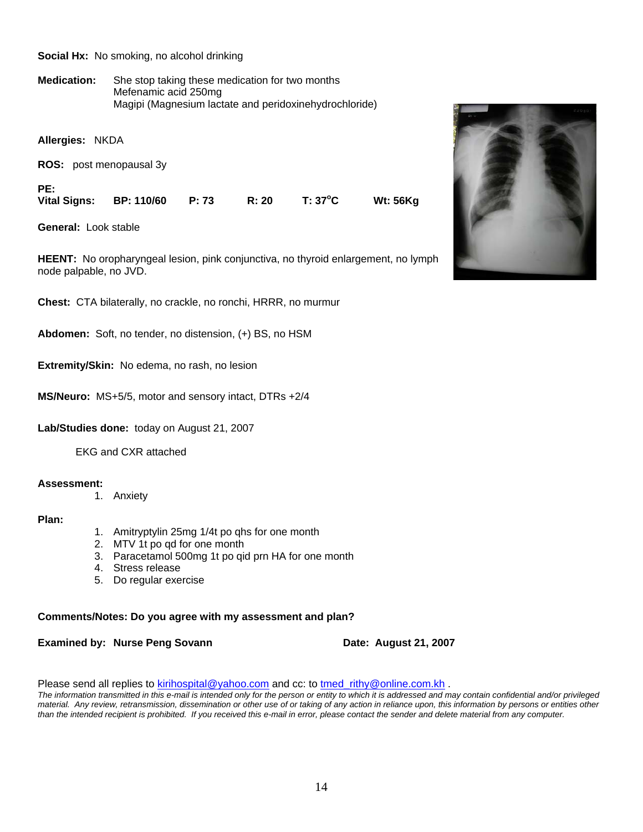#### **Social Hx:** No smoking, no alcohol drinking

**Medication:** She stop taking these medication for two months Mefenamic acid 250mg Magipi (Magnesium lactate and peridoxinehydrochloride)

**Allergies:** NKDA

**ROS:** post menopausal 3y

**PE:** 

**Vital Signs: BP: 110/60 P: 73 R: 20 T: 37<sup>o</sup>**

**General:** Look stable

**HEENT:** No oropharyngeal lesion, pink conjunctiva, no thyroid enlargement, no lymph node palpable, no JVD.

**Chest:** CTA bilaterally, no crackle, no ronchi, HRRR, no murmur

**Abdomen:** Soft, no tender, no distension, (+) BS, no HSM

**Extremity/Skin:** No edema, no rash, no lesion

**MS/Neuro:** MS+5/5, motor and sensory intact, DTRs +2/4

**Lab/Studies done:** today on August 21, 2007

EKG and CXR attached

#### **Assessment:**

1. Anxiety

# **Plan:**

- 1. Amitryptylin 25mg 1/4t po qhs for one month
- 2. MTV 1t po qd for one month
- 3. Paracetamol 500mg 1t po qid prn HA for one month
- 4. Stress release
- 5. Do regular exercise

# **Comments/Notes: Do you agree with my assessment and plan?**

**Examined by: Nurse Peng Sovann Date: August 21, 2007** 

**C Wt: 56Kg**

Please send all replies to [kirihospital@yahoo.com](mailto:kirihospital@yahoo.com) and cc: to tmed rithy@online.com.kh .

*The information transmitted in this e-mail is intended only for the person or entity to which it is addressed and may contain confidential and/or privileged material. Any review, retransmission, dissemination or other use of or taking of any action in reliance upon, this information by persons or entities other than the intended recipient is prohibited. If you received this e-mail in error, please contact the sender and delete material from any computer.*

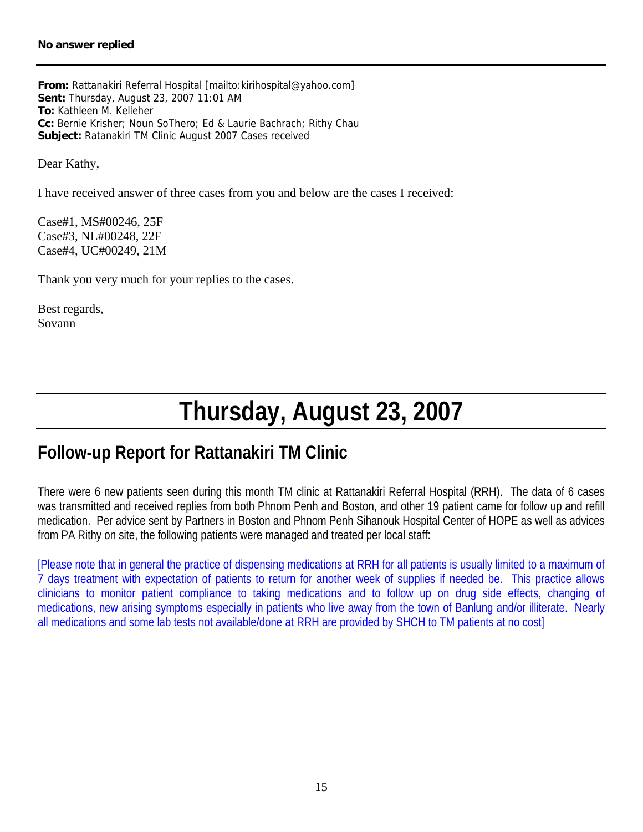# **No answer replied**

**From:** Rattanakiri Referral Hospital [mailto:kirihospital@yahoo.com] **Sent:** Thursday, August 23, 2007 11:01 AM **To:** Kathleen M. Kelleher **Cc:** Bernie Krisher; Noun SoThero; Ed & Laurie Bachrach; Rithy Chau **Subject:** Ratanakiri TM Clinic August 2007 Cases received

Dear Kathy,

I have received answer of three cases from you and below are the cases I received:

Case#1, MS#00246, 25F Case#3, NL#00248, 22F Case#4, UC#00249, 21M

Thank you very much for your replies to the cases.

Best regards, Sovann

# **Thursday, August 23, 2007**

# **Follow-up Report for Rattanakiri TM Clinic**

There were 6 new patients seen during this month TM clinic at Rattanakiri Referral Hospital (RRH). The data of 6 cases was transmitted and received replies from both Phnom Penh and Boston, and other 19 patient came for follow up and refill medication. Per advice sent by Partners in Boston and Phnom Penh Sihanouk Hospital Center of HOPE as well as advices from PA Rithy on site, the following patients were managed and treated per local staff:

[Please note that in general the practice of dispensing medications at RRH for all patients is usually limited to a maximum of 7 days treatment with expectation of patients to return for another week of supplies if needed be. This practice allows clinicians to monitor patient compliance to taking medications and to follow up on drug side effects, changing of medications, new arising symptoms especially in patients who live away from the town of Banlung and/or illiterate. Nearly all medications and some lab tests not available/done at RRH are provided by SHCH to TM patients at no cost]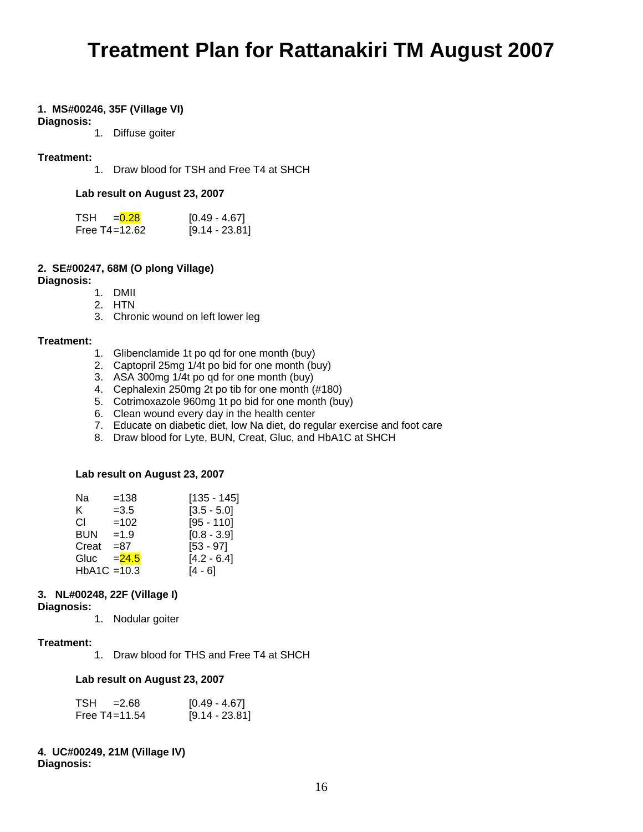# **Treatment Plan for Rattanakiri TM August 2007**

# **1. MS#00246, 35F (Village VI)**

#### **Diagnosis:**

1. Diffuse goiter

# **Treatment:**

1. Draw blood for TSH and Free T4 at SHCH

#### **Lab result on August 23, 2007**

| TSH<br>$= 0.28$ | $[0.49 - 4.67]$  |
|-----------------|------------------|
| Free T4=12.62   | $[9.14 - 23.81]$ |

# **2. SE#00247, 68M (O plong Village)**

**Diagnosis:**

- 1. DMII
- 2. HTN
- 3. Chronic wound on left lower leg

# **Treatment:**

- 1. Glibenclamide 1t po qd for one month (buy)
- 2. Captopril 25mg 1/4t po bid for one month (buy)
- 3. ASA 300mg 1/4t po qd for one month (buy)
- 4. Cephalexin 250mg 2t po tib for one month (#180)
- 5. Cotrimoxazole 960mg 1t po bid for one month (buy)
- 6. Clean wound every day in the health center
- 7. Educate on diabetic diet, low Na diet, do regular exercise and foot care
- 8. Draw blood for Lyte, BUN, Creat, Gluc, and HbA1C at SHCH

#### **Lab result on August 23, 2007**

| Na             | $=138$   | $[135 - 145]$ |
|----------------|----------|---------------|
| K.             | $=3.5$   | $[3.5 - 5.0]$ |
| СL             | $=102$   | $[95 - 110]$  |
| <b>BUN</b>     | $=1.9$   | $[0.8 - 3.9]$ |
| Creat          | $= 87$   | $[53 - 97]$   |
| Gluc           | $= 24.5$ | $[4.2 - 6.4]$ |
| $HbA1C = 10.3$ |          | [4 - 6]       |

# **3. NL#00248, 22F (Village I)**

**Diagnosis:**

1. Nodular goiter

# **Treatment:**

1. Draw blood for THS and Free T4 at SHCH

#### **Lab result on August 23, 2007**

| TSH =2.68         | $[0.49 - 4.67]$  |
|-------------------|------------------|
| Free $T4 = 11.54$ | $[9.14 - 23.81]$ |

# **4. UC#00249, 21M (Village IV)**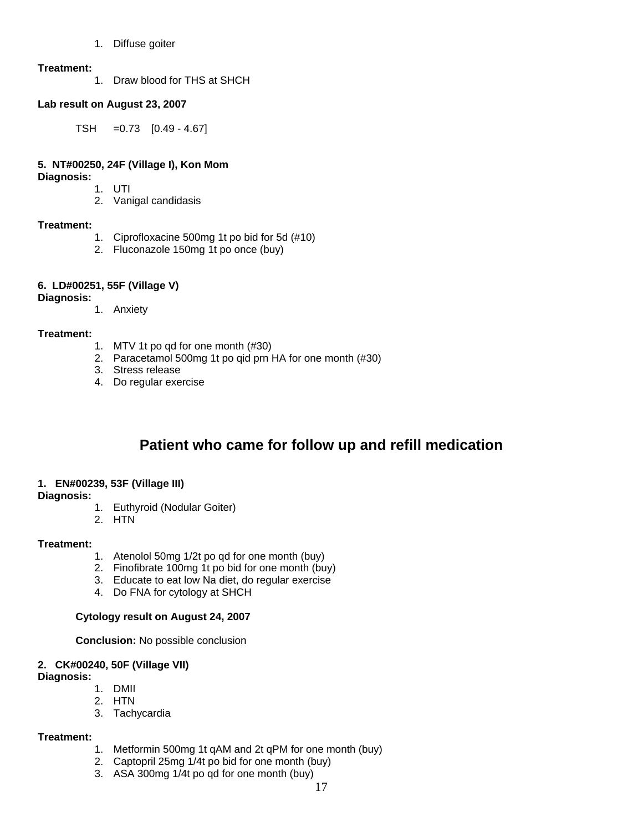1. Diffuse goiter

# **Treatment:**

1. Draw blood for THS at SHCH

# **Lab result on August 23, 2007**

TSH =0.73 [0.49 - 4.67]

# **5. NT#00250, 24F (Village I), Kon Mom**

**Diagnosis:**

1. UTI 2. Vanigal candidasis

# **Treatment:**

- 1. Ciprofloxacine 500mg 1t po bid for 5d (#10)
- 2. Fluconazole 150mg 1t po once (buy)

# **6. LD#00251, 55F (Village V)**

# **Diagnosis:**

1. Anxiety

# **Treatment:**

- 1. MTV 1t po qd for one month (#30)
- 2. Paracetamol 500mg 1t po qid prn HA for one month (#30)
- 3. Stress release
- 4. Do regular exercise

# **Patient who came for follow up and refill medication**

# **1. EN#00239, 53F (Village III)**

# **Diagnosis:**

- 1. Euthyroid (Nodular Goiter)
- 2. HTN

# **Treatment:**

- 1. Atenolol 50mg 1/2t po qd for one month (buy)
- 2. Finofibrate 100mg 1t po bid for one month (buy)
- 3. Educate to eat low Na diet, do regular exercise
- 4. Do FNA for cytology at SHCH

# **Cytology result on August 24, 2007**

**Conclusion:** No possible conclusion

# **2. CK#00240, 50F (Village VII)**

#### **Diagnosis:**

- 1. DMII
- 2. HTN
- 3. Tachycardia

# **Treatment:**

- 1. Metformin 500mg 1t qAM and 2t qPM for one month (buy)
- 2. Captopril 25mg 1/4t po bid for one month (buy)
- 3. ASA 300mg 1/4t po qd for one month (buy)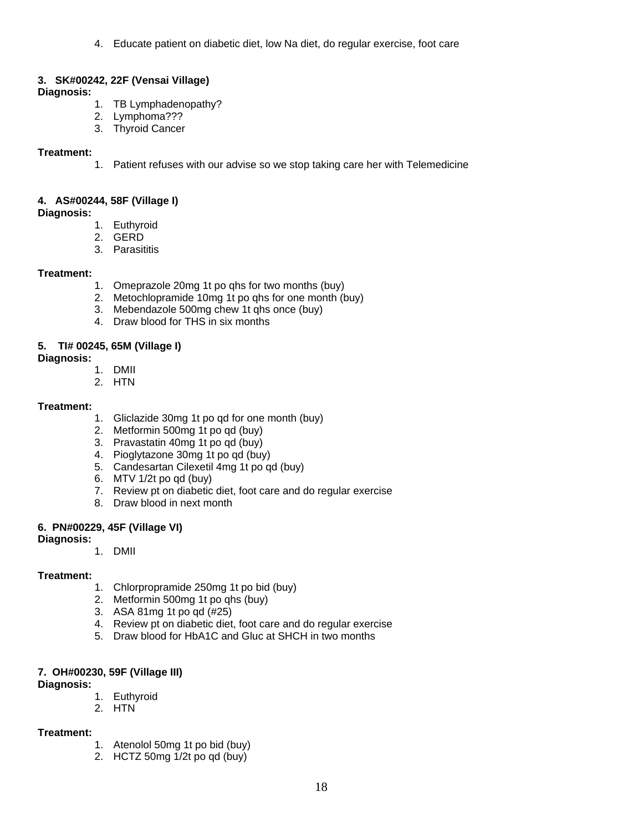4. Educate patient on diabetic diet, low Na diet, do regular exercise, foot care

# **3. SK#00242, 22F (Vensai Village)**

#### **Diagnosis:**

- 1. TB Lymphadenopathy?
- 2. Lymphoma???
- 3. Thyroid Cancer

# **Treatment:**

1. Patient refuses with our advise so we stop taking care her with Telemedicine

# **4. AS#00244, 58F (Village I)**

**Diagnosis:**

- 1. Euthyroid
- 2. GERD
- 3. Parasititis

# **Treatment:**

- 1. Omeprazole 20mg 1t po qhs for two months (buy)
- 2. Metochlopramide 10mg 1t po qhs for one month (buy)
- 3. Mebendazole 500mg chew 1t qhs once (buy)
- 4. Draw blood for THS in six months

# **5. TI# 00245, 65M (Village I)**

# **Diagnosis:**

- 1. DMII
- 2. HTN

# **Treatment:**

- 1. Gliclazide 30mg 1t po qd for one month (buy)
- 2. Metformin 500mg 1t po qd (buy)
- 3. Pravastatin 40mg 1t po qd (buy)
- 4. Pioglytazone 30mg 1t po qd (buy)
- 5. Candesartan Cilexetil 4mg 1t po qd (buy)
- 6. MTV 1/2t po qd (buy)
- 7. Review pt on diabetic diet, foot care and do regular exercise
- 8. Draw blood in next month

#### **6. PN#00229, 45F (Village VI)**

#### **Diagnosis:**

1. DMII

# **Treatment:**

- 1. Chlorpropramide 250mg 1t po bid (buy)
- 2. Metformin 500mg 1t po qhs (buy)
- 3. ASA 81mg 1t po qd (#25)
- 4. Review pt on diabetic diet, foot care and do regular exercise
- 5. Draw blood for HbA1C and Gluc at SHCH in two months

# **7. OH#00230, 59F (Village III)**

#### **Diagnosis:**

- 1. Euthyroid
- 2. HTN

#### **Treatment:**

- 1. Atenolol 50mg 1t po bid (buy)
- 2. HCTZ 50mg 1/2t po qd (buy)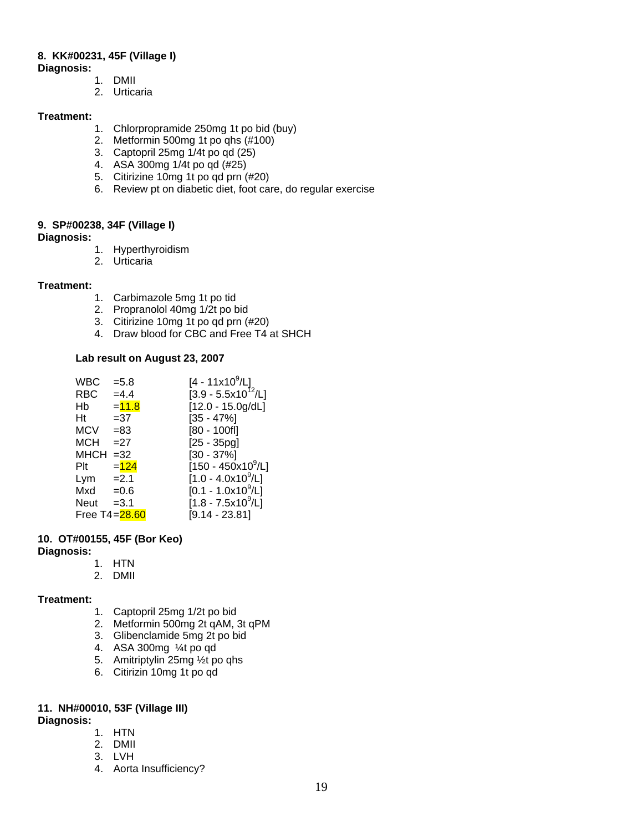# **8. KK#00231, 45F (Village I)**

- **Diagnosis:**
	- 1. DMII
	- 2. Urticaria

# **Treatment:**

- 1. Chlorpropramide 250mg 1t po bid (buy)
- 2. Metformin 500mg 1t po qhs (#100)
- 3. Captopril 25mg 1/4t po qd (25)
- 4. ASA 300mg 1/4t po qd (#25)
- 5. Citirizine 10mg 1t po qd prn (#20)
- 6. Review pt on diabetic diet, foot care, do regular exercise

# **9. SP#00238, 34F (Village I)**

# **Diagnosis:**

- 1. Hyperthyroidism
- 2. Urticaria

# **Treatment:**

- 1. Carbimazole 5mg 1t po tid
- 2. Propranolol 40mg 1/2t po bid
- 3. Citirizine 10mg 1t po qd prn (#20)
- 4. Draw blood for CBC and Free T4 at SHCH

# **Lab result on August 23, 2007**

| <b>WBC</b>  | $= 5.8$       | $[4 - 11 \times 10^9/L]$       |
|-------------|---------------|--------------------------------|
| RBC         | $=4.4$        | $[3.9 - 5.5x10^{12}/L]$        |
| Hb          | $= 11.8$      | $[12.0 - 15.0g/dL]$            |
| Ht          | $= 37$        | $[35 - 47\%]$                  |
| <b>MCV</b>  | $= 83$        | $[80 - 100f]$                  |
| <b>MCH</b>  | $=27$         | $[25 - 35pg]$                  |
| <b>MHCH</b> | $=32$         | $[30 - 37\%]$                  |
| Plt         | $= 124$       | $[150 - 450 \times 10^9$ /L]   |
| Lym         | $=2.1$        | [1.0 - 4.0x10 <sup>9</sup> /L] |
| Mxd         | $=0.6$        | $[0.1 - 1.0x10^9/L]$           |
| Neut        | $=3.1$        | $[1.8 - 7.5x10^9/L]$           |
|             | Free T4=28.60 | $[9.14 - 23.81]$               |

# **10. OT#00155, 45F (Bor Keo)**

#### **Diagnosis:**

- 1. HTN
- 2. DMII

# **Treatment:**

- 1. Captopril 25mg 1/2t po bid
- 2. Metformin 500mg 2t qAM, 3t qPM
- 3. Glibenclamide 5mg 2t po bid
- 4. ASA 300mg ¼t po qd
- 5. Amitriptylin 25mg ½t po qhs
- 6. Citirizin 10mg 1t po qd

# **11. NH#00010, 53F (Village III)**

# **Diagnosis:**

- 1. HTN
- 2. DMII
- 3. LVH
- 4. Aorta Insufficiency?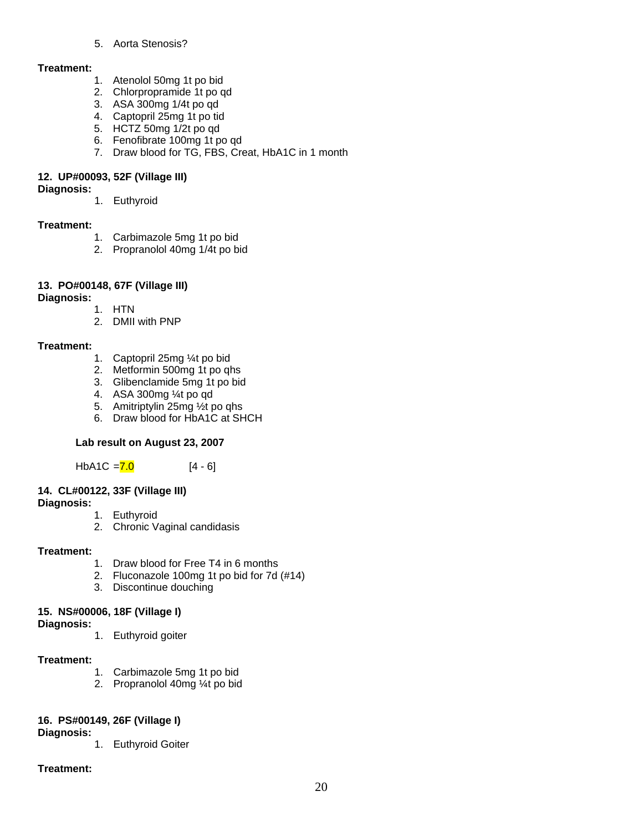# 5. Aorta Stenosis?

# **Treatment:**

- 1. Atenolol 50mg 1t po bid
- 2. Chlorpropramide 1t po qd
- 3. ASA 300mg 1/4t po qd
- 4. Captopril 25mg 1t po tid
- 5. HCTZ 50mg 1/2t po qd
- 6. Fenofibrate 100mg 1t po qd
- 7. Draw blood for TG, FBS, Creat, HbA1C in 1 month

# **12. UP#00093, 52F (Village III)**

#### **Diagnosis:**

1. Euthyroid

# **Treatment:**

- 1. Carbimazole 5mg 1t po bid
- 2. Propranolol 40mg 1/4t po bid

# **13. PO#00148, 67F (Village III)**

# **Diagnosis:**

- 1. HTN
	- 2. DMII with PNP

# **Treatment:**

- 1. Captopril 25mg ¼t po bid
- 2. Metformin 500mg 1t po qhs
- 3. Glibenclamide 5mg 1t po bid
- 4. ASA 300mg ¼t po qd
- 5. Amitriptylin 25mg ½t po qhs
- 6. Draw blood for HbA1C at SHCH

# **Lab result on August 23, 2007**

 $HbA1C = 7.0$  [4 - 6]

# **14. CL#00122, 33F (Village III)**

#### **Diagnosis:**

- 1. Euthyroid
- 2. Chronic Vaginal candidasis

# **Treatment:**

- 1. Draw blood for Free T4 in 6 months
- 2. Fluconazole 100mg 1t po bid for 7d (#14)
- 3. Discontinue douching

# **15. NS#00006, 18F (Village I)**

# **Diagnosis:**

1. Euthyroid goiter

#### **Treatment:**

- 1. Carbimazole 5mg 1t po bid
- 2. Propranolol 40mg ¼t po bid

# **16. PS#00149, 26F (Village I)**

#### **Diagnosis:**

1. Euthyroid Goiter

# **Treatment:**